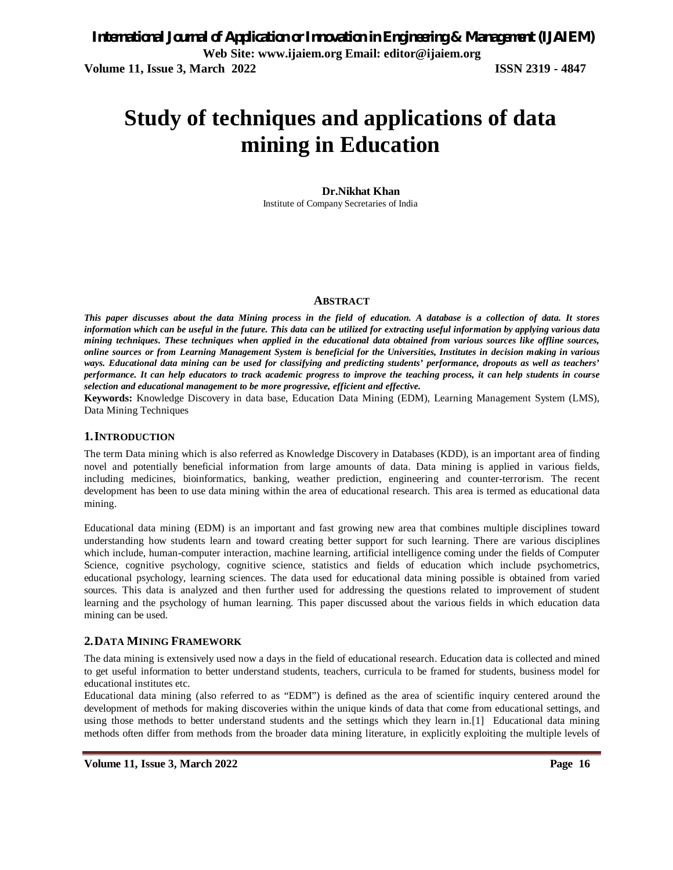# **Study of techniques and applications of data mining in Education**

#### **Dr.Nikhat Khan**

Institute of Company Secretaries of India

#### **ABSTRACT**

*This paper discusses about the data Mining process in the field of education. A database is a collection of data. It stores information which can be useful in the future. This data can be utilized for extracting useful information by applying various data mining techniques. These techniques when applied in the educational data obtained from various sources like offline sources, online sources or from Learning Management System is beneficial for the Universities, Institutes in decision making in various ways. Educational data mining can be used for classifying and predicting students' performance, dropouts as well as teachers' performance. It can help educators to track academic progress to improve the teaching process, it can help students in course selection and educational management to be more progressive, efficient and effective.* 

**Keywords:** Knowledge Discovery in data base, Education Data Mining (EDM), Learning Management System (LMS), Data Mining Techniques

#### **1.INTRODUCTION**

The term Data mining which is also referred as Knowledge Discovery in Databases (KDD), is an important area of finding novel and potentially beneficial information from large amounts of data. Data mining is applied in various fields, including medicines, bioinformatics, banking, weather prediction, engineering and counter-terrorism. The recent development has been to use data mining within the area of educational research. This area is termed as educational data mining.

Educational data mining (EDM) is an important and fast growing new area that combines multiple disciplines toward understanding how students learn and toward creating better support for such learning. There are various disciplines which include, human-computer interaction, machine learning, artificial intelligence coming under the fields of Computer Science, cognitive psychology, cognitive science, statistics and fields of education which include psychometrics, educational psychology, learning sciences. The data used for educational data mining possible is obtained from varied sources. This data is analyzed and then further used for addressing the questions related to improvement of student learning and the psychology of human learning. This paper discussed about the various fields in which education data mining can be used.

#### **2.DATA MINING FRAMEWORK**

The data mining is extensively used now a days in the field of educational research. Education data is collected and mined to get useful information to better understand students, teachers, curricula to be framed for students, business model for educational institutes etc.

Educational data mining (also referred to as "EDM") is defined as the area of scientific inquiry centered around the development of methods for making discoveries within the unique kinds of data that come from educational settings, and using those methods to better understand students and the settings which they learn in.[1] Educational data mining methods often differ from methods from the broader data mining literature, in explicitly exploiting the multiple levels of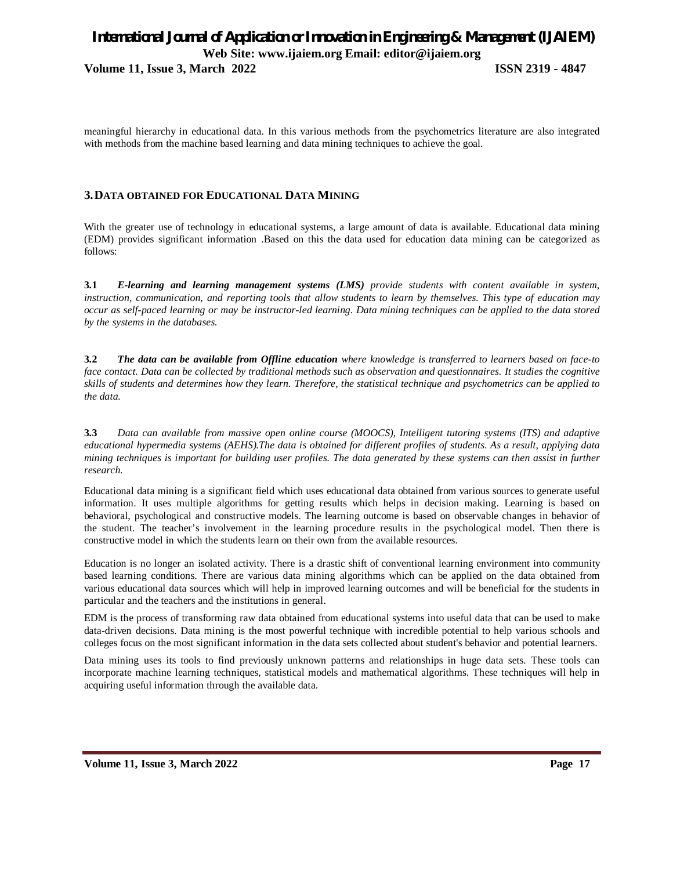**Volume 11, Issue 3, March 2022 ISSN 2319 - 4847**

meaningful hierarchy in educational data. In this various methods from the psychometrics literature are also integrated with methods from the machine based learning and data mining techniques to achieve the goal.

#### **3.DATA OBTAINED FOR EDUCATIONAL DATA MINING**

With the greater use of technology in educational systems, a large amount of data is available. Educational data mining (EDM) provides significant information .Based on this the data used for education data mining can be categorized as follows:

**3.1** *E-learning and learning management systems (LMS) provide students with content available in system, instruction, communication, and reporting tools that allow students to learn by themselves. This type of education may occur as self-paced learning or may be instructor-led learning. Data mining techniques can be applied to the data stored by the systems in the databases.*

**3.2** *The data can be available from Offline education where knowledge is transferred to learners based on face-to face contact. Data can be collected by traditional methods such as observation and questionnaires. It studies the cognitive skills of students and determines how they learn. Therefore, the statistical technique and psychometrics can be applied to the data.*

**3.3** *Data can available from massive open online course (MOOCS), Intelligent tutoring systems (ITS) and adaptive educational hypermedia systems (AEHS).The data is obtained for different profiles of students. As a result, applying data mining techniques is important for building user profiles. The data generated by these systems can then assist in further research.*

Educational data mining is a significant field which uses educational data obtained from various sources to generate useful information. It uses multiple algorithms for getting results which helps in decision making. Learning is based on behavioral, psychological and constructive models. The learning outcome is based on observable changes in behavior of the student. The teacher's involvement in the learning procedure results in the psychological model. Then there is constructive model in which the students learn on their own from the available resources.

Education is no longer an isolated activity. There is a drastic shift of conventional learning environment into community based learning conditions. There are various data mining algorithms which can be applied on the data obtained from various educational data sources which will help in improved learning outcomes and will be beneficial for the students in particular and the teachers and the institutions in general.

EDM is the process of transforming raw data obtained from educational systems into useful data that can be used to make data-driven decisions. Data mining is the most powerful technique with incredible potential to help various schools and colleges focus on the most significant information in the data sets collected about student's behavior and potential learners.

Data mining uses its tools to find previously unknown patterns and relationships in huge data sets. These tools can incorporate machine learning techniques, statistical models and mathematical algorithms. These techniques will help in acquiring useful information through the available data.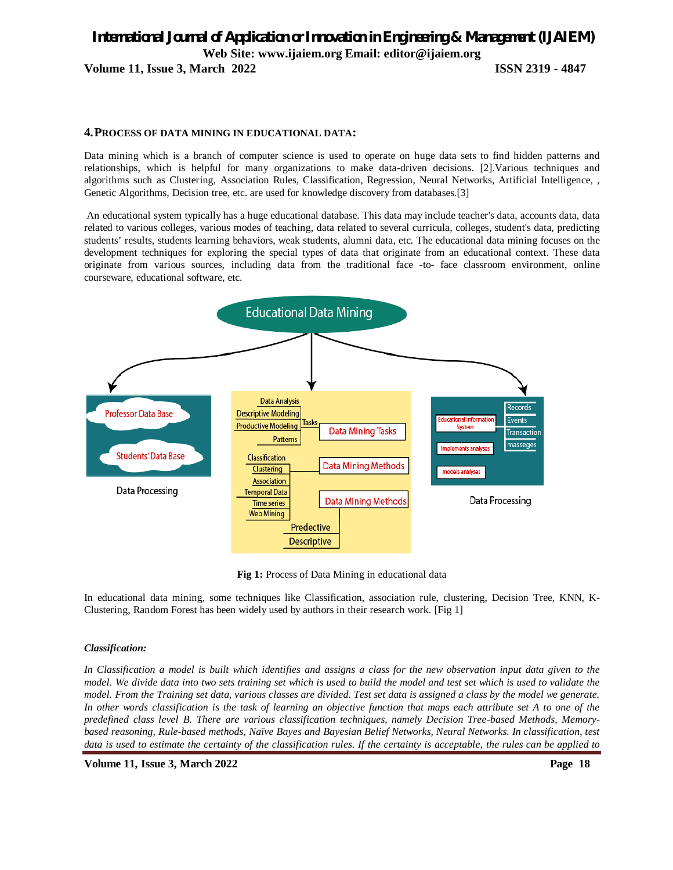### *International Journal of Application or Innovation in Engineering & Management (IJAIEM)* **Web Site: www.ijaiem.org Email: editor@ijaiem.org Volume 11, Issue 3, March 2022 ISSN 2319 - 4847**

#### **4.PROCESS OF DATA MINING IN EDUCATIONAL DATA:**

Data mining which is a branch of computer science is used to operate on huge data sets to find hidden patterns and relationships, which is helpful for many organizations to make data-driven decisions. [2].Various techniques and algorithms such as Clustering, Association Rules, Classification, Regression, Neural Networks, Artificial Intelligence, , Genetic Algorithms, Decision tree, etc. are used for knowledge discovery from databases.[3]

An educational system typically has a huge educational database. This data may include teacher's data, accounts data, data related to various colleges, various modes of teaching, data related to several curricula, colleges, student's data, predicting students' results, students learning behaviors, weak students, alumni data, etc. The educational data mining focuses on the development techniques for exploring the special types of data that originate from an educational context. These data originate from various sources, including data from the traditional face -to- face classroom environment, online courseware, educational software, etc.



**Fig 1:** Process of Data Mining in educational data

In educational data mining, some techniques like Classification, association rule, clustering, Decision Tree, KNN, K-Clustering, Random Forest has been widely used by authors in their research work. [Fig 1]

#### *Classification:*

*In Classification a model is built which identifies and assigns a class for the new observation input data given to the model. We divide data into two sets training set which is used to build the model and test set which is used to validate the model. From the Training set data, various classes are divided. Test set data is assigned a class by the model we generate. In other words classification is the task of learning an objective function that maps each attribute set A to one of the predefined class level B. There are various classification techniques, namely Decision Tree-based Methods, Memorybased reasoning, Rule-based methods, Naïve Bayes and Bayesian Belief Networks, Neural Networks. In classification, test data is used to estimate the certainty of the classification rules. If the certainty is acceptable, the rules can be applied to* 

**Volume 11, Issue 3, March 2022 Page 18**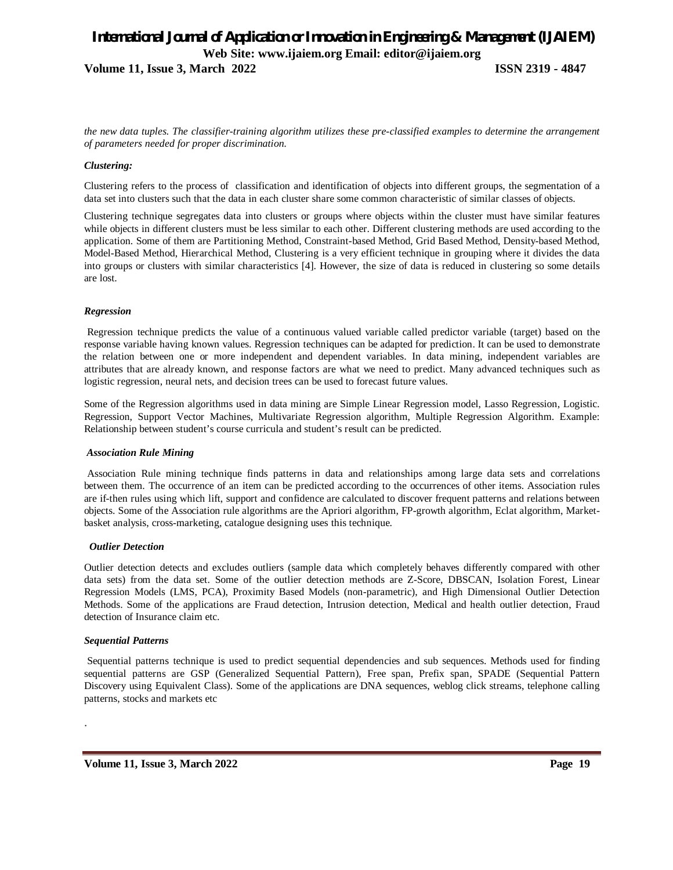**Volume 11, Issue 3, March 2022 ISSN 2319 - 4847**

*the new data tuples. The classifier-training algorithm utilizes these pre-classified examples to determine the arrangement of parameters needed for proper discrimination.* 

#### *Clustering:*

Clustering refers to the process of classification and identification of objects into different groups, the segmentation of a data set into clusters such that the data in each cluster share some common characteristic of similar classes of objects.

Clustering technique segregates data into clusters or groups where objects within the cluster must have similar features while objects in different clusters must be less similar to each other. Different clustering methods are used according to the application. Some of them are Partitioning Method, Constraint-based Method, Grid Based Method, Density-based Method, Model-Based Method, Hierarchical Method, Clustering is a very efficient technique in grouping where it divides the data into groups or clusters with similar characteristics [4]. However, the size of data is reduced in clustering so some details are lost.

#### *Regression*

Regression technique predicts the value of a continuous valued variable called predictor variable (target) based on the response variable having known values. Regression techniques can be adapted for prediction. It can be used to demonstrate the relation between one or more independent and dependent variables. In data mining, independent variables are attributes that are already known, and response factors are what we need to predict. Many advanced techniques such as logistic regression, neural nets, and decision trees can be used to forecast future values.

Some of the Regression algorithms used in data mining are Simple Linear Regression model, Lasso Regression, Logistic. Regression, Support Vector Machines, Multivariate Regression algorithm, Multiple Regression Algorithm. Example: Relationship between student's course curricula and student's result can be predicted.

#### *Association Rule Mining*

Association Rule mining technique finds patterns in data and relationships among large data sets and correlations between them. The occurrence of an item can be predicted according to the occurrences of other items. Association rules are if-then rules using which lift, support and confidence are calculated to discover frequent patterns and relations between objects. Some of the Association rule algorithms are the Apriori algorithm, FP-growth algorithm, Eclat algorithm, Marketbasket analysis, cross-marketing, catalogue designing uses this technique.

#### *Outlier Detection*

Outlier detection detects and excludes outliers (sample data which completely behaves differently compared with other data sets) from the data set. Some of the outlier detection methods are Z-Score, DBSCAN, Isolation Forest, Linear Regression Models (LMS, PCA), Proximity Based Models (non-parametric), and High Dimensional Outlier Detection Methods. Some of the applications are Fraud detection, Intrusion detection, Medical and health outlier detection, Fraud detection of Insurance claim etc.

#### *Sequential Patterns*

.

Sequential patterns technique is used to predict sequential dependencies and sub sequences. Methods used for finding sequential patterns are GSP (Generalized Sequential Pattern), Free span, Prefix span, SPADE (Sequential Pattern Discovery using Equivalent Class). Some of the applications are DNA sequences, weblog click streams, telephone calling patterns, stocks and markets etc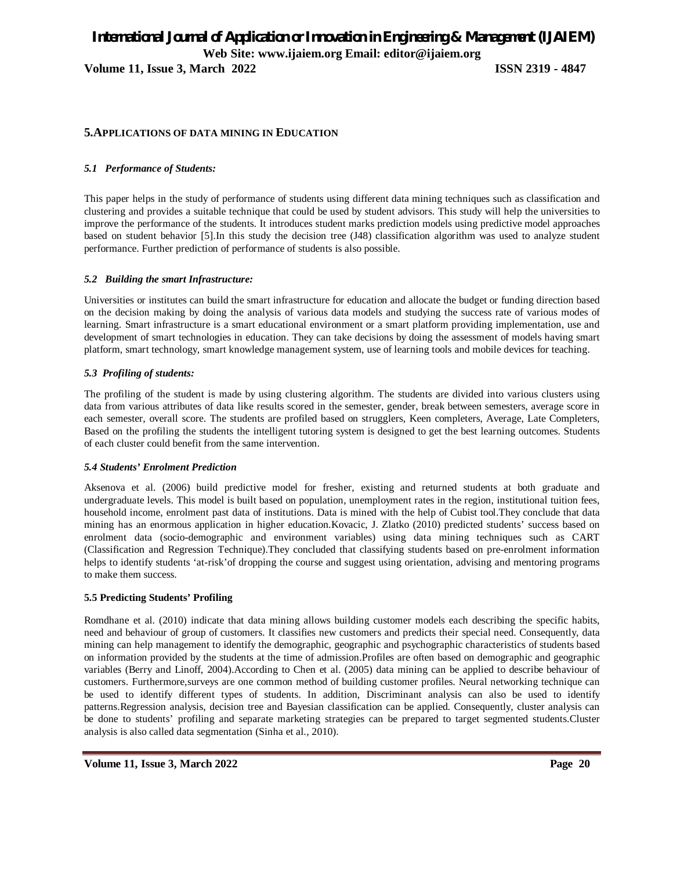**Volume 11, Issue 3, March 2022 ISSN 2319 - 4847**

#### **5.APPLICATIONS OF DATA MINING IN EDUCATION**

#### *5.1 Performance of Students:*

This paper helps in the study of performance of students using different data mining techniques such as classification and clustering and provides a suitable technique that could be used by student advisors. This study will help the universities to improve the performance of the students. It introduces student marks prediction models using predictive model approaches based on student behavior [5].In this study the decision tree (J48) classification algorithm was used to analyze student performance. Further prediction of performance of students is also possible.

#### *5.2 Building the smart Infrastructure:*

Universities or institutes can build the smart infrastructure for education and allocate the budget or funding direction based on the decision making by doing the analysis of various data models and studying the success rate of various modes of learning. Smart infrastructure is a smart educational environment or a smart platform providing implementation, use and development of smart technologies in education. They can take decisions by doing the assessment of models having smart platform, smart technology, smart knowledge management system, use of learning tools and mobile devices for teaching.

#### *5.3 Profiling of students:*

The profiling of the student is made by using clustering algorithm. The students are divided into various clusters using data from various attributes of data like results scored in the semester, gender, break between semesters, average score in each semester, overall score. The students are profiled based on strugglers, Keen completers, Average, Late Completers, Based on the profiling the students the intelligent tutoring system is designed to get the best learning outcomes. Students of each cluster could benefit from the same intervention.

#### *5.4 Students' Enrolment Prediction*

Aksenova et al. (2006) build predictive model for fresher, existing and returned students at both graduate and undergraduate levels. This model is built based on population, unemployment rates in the region, institutional tuition fees, household income, enrolment past data of institutions. Data is mined with the help of Cubist tool.They conclude that data mining has an enormous application in higher education.Kovacic, J. Zlatko (2010) predicted students' success based on enrolment data (socio-demographic and environment variables) using data mining techniques such as CART (Classification and Regression Technique).They concluded that classifying students based on pre-enrolment information helps to identify students 'at-risk'of dropping the course and suggest using orientation, advising and mentoring programs to make them success.

#### **5.5 Predicting Students' Profiling**

Romdhane et al. (2010) indicate that data mining allows building customer models each describing the specific habits, need and behaviour of group of customers. It classifies new customers and predicts their special need. Consequently, data mining can help management to identify the demographic, geographic and psychographic characteristics of students based on information provided by the students at the time of admission.Profiles are often based on demographic and geographic variables (Berry and Linoff, 2004).According to Chen et al. (2005) data mining can be applied to describe behaviour of customers. Furthermore,surveys are one common method of building customer profiles. Neural networking technique can be used to identify different types of students. In addition, Discriminant analysis can also be used to identify patterns.Regression analysis, decision tree and Bayesian classification can be applied. Consequently, cluster analysis can be done to students' profiling and separate marketing strategies can be prepared to target segmented students.Cluster analysis is also called data segmentation (Sinha et al., 2010).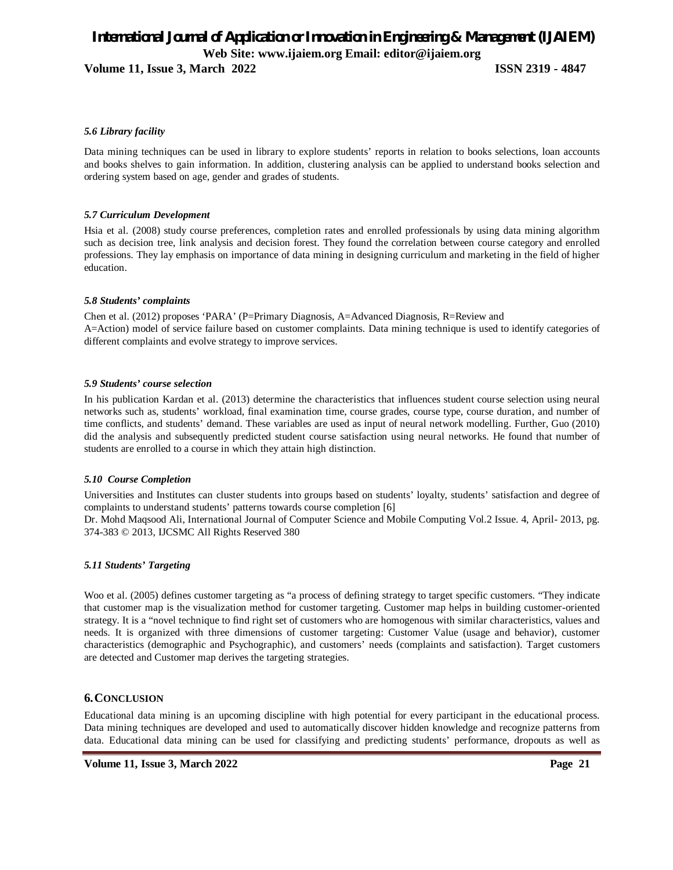**Volume 11, Issue 3, March 2022 ISSN 2319 - 4847**

#### *5.6 Library facility*

Data mining techniques can be used in library to explore students' reports in relation to books selections, loan accounts and books shelves to gain information. In addition, clustering analysis can be applied to understand books selection and ordering system based on age, gender and grades of students.

#### *5.7 Curriculum Development*

Hsia et al. (2008) study course preferences, completion rates and enrolled professionals by using data mining algorithm such as decision tree, link analysis and decision forest. They found the correlation between course category and enrolled professions. They lay emphasis on importance of data mining in designing curriculum and marketing in the field of higher education.

#### *5.8 Students' complaints*

Chen et al. (2012) proposes 'PARA' (P=Primary Diagnosis, A=Advanced Diagnosis, R=Review and A=Action) model of service failure based on customer complaints. Data mining technique is used to identify categories of different complaints and evolve strategy to improve services.

#### *5.9 Students' course selection*

In his publication Kardan et al. (2013) determine the characteristics that influences student course selection using neural networks such as, students' workload, final examination time, course grades, course type, course duration, and number of time conflicts, and students' demand. These variables are used as input of neural network modelling. Further, Guo (2010) did the analysis and subsequently predicted student course satisfaction using neural networks. He found that number of students are enrolled to a course in which they attain high distinction.

#### *5.10 Course Completion*

Universities and Institutes can cluster students into groups based on students' loyalty, students' satisfaction and degree of complaints to understand students' patterns towards course completion [6]

Dr. Mohd Maqsood Ali, International Journal of Computer Science and Mobile Computing Vol.2 Issue. 4, April- 2013, pg. 374-383 © 2013, IJCSMC All Rights Reserved 380

#### *5.11 Students' Targeting*

Woo et al. (2005) defines customer targeting as "a process of defining strategy to target specific customers. "They indicate that customer map is the visualization method for customer targeting. Customer map helps in building customer-oriented strategy. It is a "novel technique to find right set of customers who are homogenous with similar characteristics, values and needs. It is organized with three dimensions of customer targeting: Customer Value (usage and behavior), customer characteristics (demographic and Psychographic), and customers' needs (complaints and satisfaction). Target customers are detected and Customer map derives the targeting strategies.

#### **6.CONCLUSION**

Educational data mining is an upcoming discipline with high potential for every participant in the educational process. Data mining techniques are developed and used to automatically discover hidden knowledge and recognize patterns from data. Educational data mining can be used for classifying and predicting students' performance, dropouts as well as